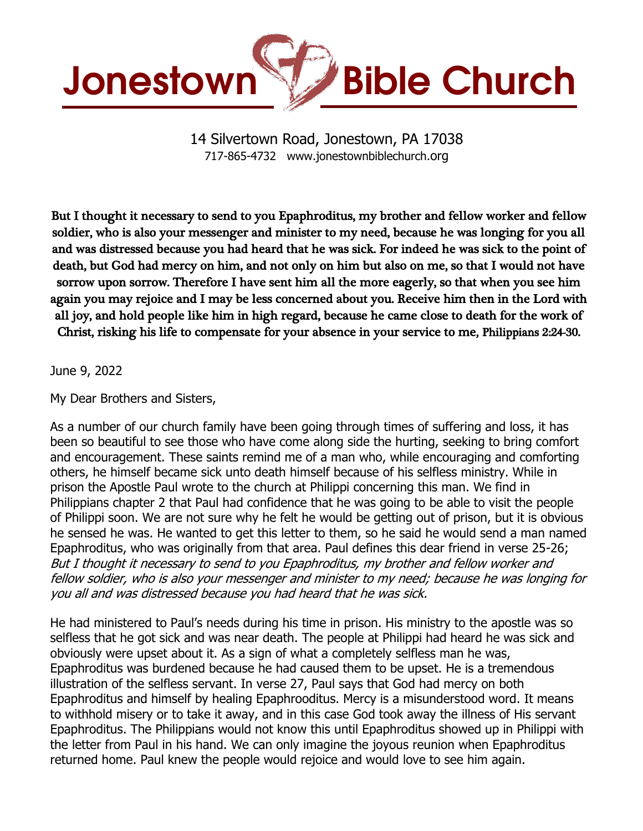

14 Silvertown Road, Jonestown, PA 17038 717-865-4732 www.jonestownbiblechurch.org

But I thought it necessary to send to you Epaphroditus, my brother and fellow worker and fellow soldier, who is also your messenger and minister to my need, because he was longing for you all and was distressed because you had heard that he was sick. For indeed he was sick to the point of death, but God had mercy on him, and not only on him but also on me, so that I would not have sorrow upon sorrow. Therefore I have sent him all the more eagerly, so that when you see him again you may rejoice and I may be less concerned about you. Receive him then in the Lord with all joy, and hold people like him in high regard, because he came close to death for the work of Christ, risking his life to compensate for your absence in your service to me, Philippians 2:24-30.

## June 9, 2022

My Dear Brothers and Sisters,

As a number of our church family have been going through times of suffering and loss, it has been so beautiful to see those who have come along side the hurting, seeking to bring comfort and encouragement. These saints remind me of a man who, while encouraging and comforting others, he himself became sick unto death himself because of his selfless ministry. While in prison the Apostle Paul wrote to the church at Philippi concerning this man. We find in Philippians chapter 2 that Paul had confidence that he was going to be able to visit the people of Philippi soon. We are not sure why he felt he would be getting out of prison, but it is obvious he sensed he was. He wanted to get this letter to them, so he said he would send a man named Epaphroditus, who was originally from that area. Paul defines this dear friend in verse 25-26; But I thought it necessary to send to you Epaphroditus, my brother and fellow worker and fellow soldier, who is also your messenger and minister to my need; because he was longing for you all and was distressed because you had heard that he was sick.

He had ministered to Paul's needs during his time in prison. His ministry to the apostle was so selfless that he got sick and was near death. The people at Philippi had heard he was sick and obviously were upset about it. As a sign of what a completely selfless man he was, Epaphroditus was burdened because he had caused them to be upset. He is a tremendous illustration of the selfless servant. In verse 27, Paul says that God had mercy on both Epaphroditus and himself by healing Epaphrooditus. Mercy is a misunderstood word. It means to withhold misery or to take it away, and in this case God took away the illness of His servant Epaphroditus. The Philippians would not know this until Epaphroditus showed up in Philippi with the letter from Paul in his hand. We can only imagine the joyous reunion when Epaphroditus returned home. Paul knew the people would rejoice and would love to see him again.